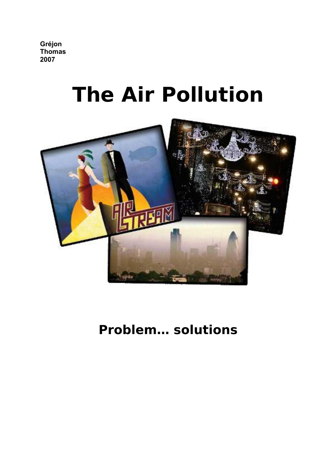**Gréjon Thomas 2007**

## **The Air Pollution**



### **Problem… solutions**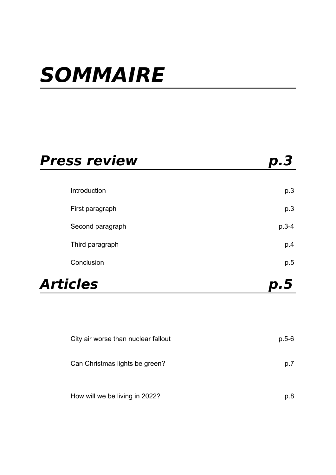### **SOMMAIRE**

| <b>Press review</b> |                                     | p.3     |
|---------------------|-------------------------------------|---------|
|                     |                                     |         |
|                     | Introduction                        | p.3     |
|                     | First paragraph                     | p.3     |
|                     | Second paragraph                    | $p.3-4$ |
|                     | Third paragraph                     | p.4     |
|                     | Conclusion                          | p.5     |
| Articles            |                                     | p.5     |
|                     |                                     |         |
|                     |                                     |         |
|                     | City air worse than nuclear fallout | $p.5-6$ |
|                     | Can Christmas lights be green?      | p.7     |
|                     | How will we be living in 2022?      | p.8     |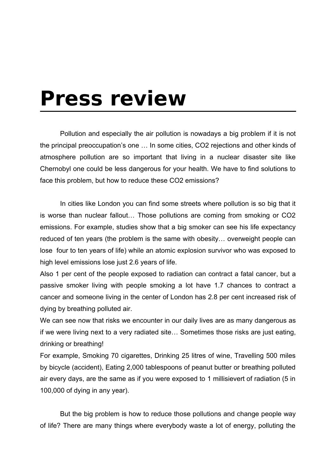### **Press review**

Pollution and especially the air pollution is nowadays a big problem if it is not the principal preoccupation's one … In some cities, CO2 rejections and other kinds of atmosphere pollution are so important that living in a nuclear disaster site like Chernobyl one could be less dangerous for your health. We have to find solutions to face this problem, but how to reduce these CO2 emissions?

In cities like London you can find some streets where pollution is so big that it is worse than nuclear fallout… Those pollutions are coming from smoking or CO2 emissions. For example, studies show that a big smoker can see his life expectancy reduced of ten years (the problem is the same with obesity… overweight people can lose four to ten years of life) while an atomic explosion survivor who was exposed to high level emissions lose just 2.6 years of life.

Also 1 per cent of the people exposed to radiation can contract a fatal cancer, but a passive smoker living with people smoking a lot have 1.7 chances to contract a cancer and someone living in the center of London has 2.8 per cent increased risk of dying by breathing polluted air.

We can see now that risks we encounter in our daily lives are as many dangerous as if we were living next to a very radiated site… Sometimes those risks are just eating, drinking or breathing!

For example, Smoking 70 cigarettes, Drinking 25 litres of wine, Travelling 500 miles by bicycle (accident), Eating 2,000 tablespoons of peanut butter or breathing polluted air every days, are the same as if you were exposed to 1 millisievert of radiation (5 in 100,000 of dying in any year).

But the big problem is how to reduce those pollutions and change people way of life? There are many things where everybody waste a lot of energy, polluting the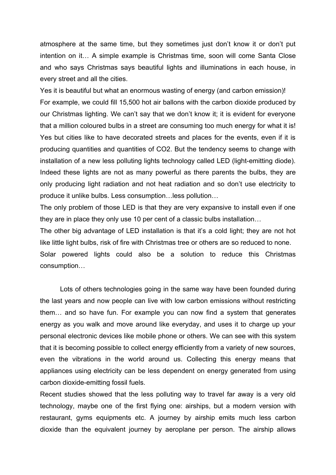atmosphere at the same time, but they sometimes just don't know it or don't put intention on it… A simple example is Christmas time, soon will come Santa Close and who says Christmas says beautiful lights and illuminations in each house, in every street and all the cities.

Yes it is beautiful but what an enormous wasting of energy (and carbon emission)! For example, we could fill 15,500 hot air ballons with the carbon dioxide produced by our Christmas lighting. We can't say that we don't know it; it is evident for everyone that a million coloured bulbs in a street are consuming too much energy for what it is! Yes but cities like to have decorated streets and places for the events, even if it is producing quantities and quantities of CO2. But the tendency seems to change with installation of a new less polluting lights technology called LED (light-emitting diode). Indeed these lights are not as many powerful as there parents the bulbs, they are only producing light radiation and not heat radiation and so don't use electricity to produce it unlike bulbs. Less consumption…less pollution…

The only problem of those LED is that they are very expansive to install even if one they are in place they only use 10 per cent of a classic bulbs installation…

The other big advantage of LED installation is that it's a cold light; they are not hot like little light bulbs, risk of fire with Christmas tree or others are so reduced to none.

Solar powered lights could also be a solution to reduce this Christmas consumption…

Lots of others technologies going in the same way have been founded during the last years and now people can live with low carbon emissions without restricting them… and so have fun. For example you can now find a system that generates energy as you walk and move around like everyday, and uses it to charge up your personal electronic devices like mobile phone or others. We can see with this system that it is becoming possible to collect energy efficiently from a variety of new sources, even the vibrations in the world around us. Collecting this energy means that appliances using electricity can be less dependent on energy generated from using carbon dioxide-emitting fossil fuels.

Recent studies showed that the less polluting way to travel far away is a very old technology, maybe one of the first flying one: airships, but a modern version with restaurant, gyms equipments etc. A journey by airship emits much less carbon dioxide than the equivalent journey by aeroplane per person. The airship allows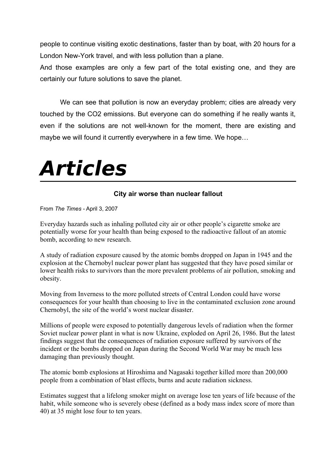people to continue visiting exotic destinations, faster than by boat, with 20 hours for a London New-York travel, and with less pollution than a plane.

And those examples are only a few part of the total existing one, and they are certainly our future solutions to save the planet.

We can see that pollution is now an everyday problem; cities are already very touched by the CO2 emissions. But everyone can do something if he really wants it, even if the solutions are not well-known for the moment, there are existing and maybe we will found it currently everywhere in a few time. We hope…

# **Articles**

#### **City air worse than nuclear fallout**

From *The Times* - April 3, 2007

Everyday hazards such as inhaling polluted city air or other people's cigarette smoke are potentially worse for your health than being exposed to the radioactive fallout of an atomic bomb, according to new research.

A study of radiation exposure caused by the atomic bombs dropped on Japan in 1945 and the explosion at the Chernobyl nuclear power plant has suggested that they have posed similar or lower health risks to survivors than the more prevalent problems of air pollution, smoking and obesity.

Moving from Inverness to the more polluted streets of Central London could have worse consequences for your health than choosing to live in the contaminated exclusion zone around Chernobyl, the site of the world's worst nuclear disaster.

Millions of people were exposed to potentially dangerous levels of radiation when the former Soviet nuclear power plant in what is now Ukraine, exploded on April 26, 1986. But the latest findings suggest that the consequences of radiation exposure suffered by survivors of the incident or the bombs dropped on Japan during the Second World War may be much less damaging than previously thought.

The atomic bomb explosions at Hiroshima and Nagasaki together killed more than 200,000 people from a combination of blast effects, burns and acute radiation sickness.

Estimates suggest that a lifelong smoker might on average lose ten years of life because of the habit, while someone who is severely obese (defined as a body mass index score of more than 40) at 35 might lose four to ten years.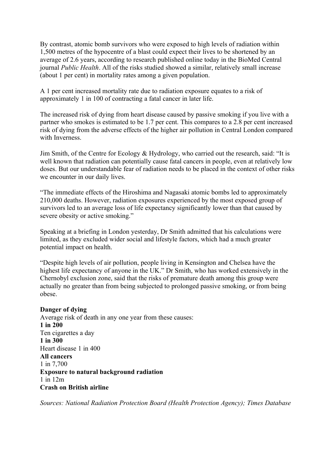By contrast, atomic bomb survivors who were exposed to high levels of radiation within 1,500 metres of the hypocentre of a blast could expect their lives to be shortened by an average of 2.6 years, according to research published online today in the BioMed Central journal *Public Health*. All of the risks studied showed a similar, relatively small increase (about 1 per cent) in mortality rates among a given population.

A 1 per cent increased mortality rate due to radiation exposure equates to a risk of approximately 1 in 100 of contracting a fatal cancer in later life.

The increased risk of dying from heart disease caused by passive smoking if you live with a partner who smokes is estimated to be 1.7 per cent. This compares to a 2.8 per cent increased risk of dying from the adverse effects of the higher air pollution in Central London compared with Inverness.

Jim Smith, of the Centre for Ecology & Hydrology, who carried out the research, said: "It is well known that radiation can potentially cause fatal cancers in people, even at relatively low doses. But our understandable fear of radiation needs to be placed in the context of other risks we encounter in our daily lives.

"The immediate effects of the Hiroshima and Nagasaki atomic bombs led to approximately 210,000 deaths. However, radiation exposures experienced by the most exposed group of survivors led to an average loss of life expectancy significantly lower than that caused by severe obesity or active smoking."

Speaking at a briefing in London yesterday, Dr Smith admitted that his calculations were limited, as they excluded wider social and lifestyle factors, which had a much greater potential impact on health.

"Despite high levels of air pollution, people living in Kensington and Chelsea have the highest life expectancy of anyone in the UK." Dr Smith, who has worked extensively in the Chernobyl exclusion zone, said that the risks of premature death among this group were actually no greater than from being subjected to prolonged passive smoking, or from being obese.

#### **Danger of dying**

Average risk of death in any one year from these causes: **1 in 200** Ten cigarettes a day **1 in 300** Heart disease 1 in 400 **All cancers** 1 in 7,700 **Exposure to natural background radiation** 1 in 12m **Crash on British airline**

*Sources: National Radiation Protection Board (Health Protection Agency); Times Database*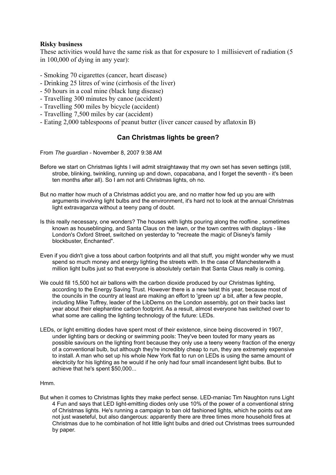#### **Risky business**

These activities would have the same risk as that for exposure to 1 millisievert of radiation (5 in 100,000 of dying in any year):

- Smoking 70 cigarettes (cancer, heart disease)
- Drinking 25 litres of wine (cirrhosis of the liver)
- 50 hours in a coal mine (black lung disease)
- Travelling 300 minutes by canoe (accident)
- Travelling 500 miles by bicycle (accident)
- Travelling 7,500 miles by car (accident)
- Eating 2,000 tablespoons of peanut butter (liver cancer caused by aflatoxin B)

#### **Can Christmas lights be green?**

From *The guardian -* November 8, 2007 9:38 AM

- Before we start on Christmas lights I will admit straightaway that my own set has seven settings (still, strobe, blinking, twinkling, running up and down, copacabana, and I forget the seventh - it's been ten months after all). So I am not anti Christmas lights, oh no.
- But no matter how much of a Christmas addict you are, and no matter how fed up you are with arguments involving light bulbs and the environment, it's hard not to look at the annual Christmas light extravaganza without a teeny pang of doubt.
- Is this really necessary, one wonders? The houses with lights pouring along the roofline , sometimes known as houseblinging, and Santa Claus on the lawn, or the town centres with displays - like London's Oxford Street, switched on yesterday to "recreate the magic of Disney's family blockbuster, Enchanted".
- Even if you didn't give a toss about carbon footprints and all that stuff, you might wonder why we must spend so much money and energy lighting the streets with. In the case of Manchesterwith a million light bulbs just so that everyone is absolutely certain that Santa Claus really is coming.
- We could fill 15,500 hot air ballons with the carbon dioxide produced by our Christmas lighting, according to the Energy Saving Trust. However there is a new twist this year, because most of the councils in the country at least are making an effort to 'green up' a bit, after a few people, including Mike Tuffrey, leader of the LibDems on the London assembly, got on their backs last year about their elephantine carbon footprint. As a result, almost everyone has switched over to what some are calling the lighting technology of the future: LEDs.
- LEDs, or light emitting diodes have spent most of their existence, since being discovered in 1907, under lighting bars or decking or swimming pools: They've been touted for many years as possible saviours on the lighting front because they only use a teeny weeny fraction of the energy of a conventional bulb, but although they're incredibly cheap to run, they are extremely expensive to install. A man who set up his whole New York flat to run on LEDs is using the same amount of electricity for his lighting as he would if he only had four small incandesent light bulbs. But to achieve that he's spent \$50,000...

#### Hmm.

But when it comes to Christmas lights they make perfect sense. LED-maniac Tim Naughton runs Light 4 Fun and says that LED light-emitting diodes only use 10% of the power of a conventional string of Christmas lights. He's running a campaign to ban old fashioned lights, which he points out are not just waseteful, but also dangerous: apparently there are three times more household fires at Christmas due to he combination of hot little light bulbs and dried out Christmas trees surrounded by paper.